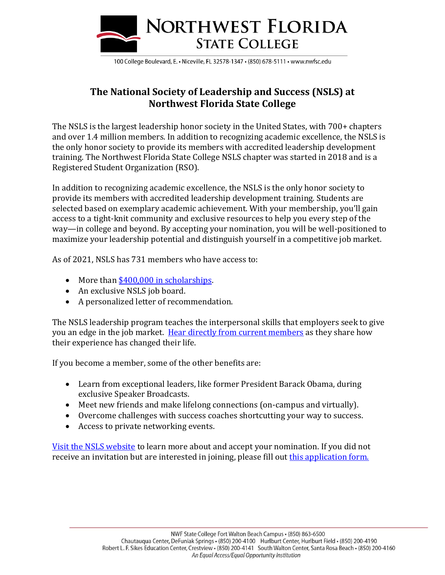

100 College Boulevard, E. • Niceville, FL 32578-1347 • (850) 678-5111 • www.nwfsc.edu

## **The National Society of Leadership and Success (NSLS) at Northwest Florida State College**

The NSLS is the largest leadership honor society in the United States, with 700+ chapters and over 1.4 million members. In addition to recognizing academic excellence, the NSLS is the only honor society to provide its members with accredited leadership development training. The Northwest Florida State College NSLS chapter was started in 2018 and is a Registered Student Organization (RSO).

In addition to recognizing academic excellence, the NSLS is the only honor society to provide its members with accredited leadership development training. Students are selected based on exemplary academic achievement. With your membership, you'll gain access to a tight-knit community and exclusive resources to help you every step of the way—in college and beyond. By accepting your nomination, you will be well-positioned to maximize your leadership potential and distinguish yourself in a competitive job market.

As of 2021, NSLS has 731 members who have access to:

- More than [\\$400,000 in scholarships.](https://www.nsls.org/scholarships-and-awards?utm_campaign=21Q2-MKT-CS-CA%20Update%20Organization%20Website&utm_medium=email&_hsmi=134245825&_hsenc=p2ANqtz-9dKEBCoOoJEsBx8dfJyQt-Vr0ei0LVqnQyLFXzuHwpnQXnnwlI5j74KGlBt0dAGVOI3wIcvFCvdk-pg0B5Pvg2Tvoqkg&utm_content=134245825&utm_source=hs_email)
- An exclusive NSLS job board.
- A personalized letter of recommendation.

The NSLS leadership program teaches the interpersonal skills that employers seek to give you an edge in the job market. [Hear directly from current members](https://info.nsls.org/membersvideo?utm_campaign=21Q2-MKT-CS-CA%20Update%20Organization%20Website&utm_medium=email&_hsmi=134245825&_hsenc=p2ANqtz-93m5E5QSFk1OIX6WRRvtrdmH3h_OEbAqBzCNwUEVJtqtqAIbP87b5NcJEkbAdW0J99JrKBEpp3PvjnyPaEfCLapjsOXA&utm_content=134245825&utm_source=hs_email) as they share how their experience has changed their life.

If you become a member, some of the other benefits are:

- Learn from exceptional leaders, like former President Barack Obama, during exclusive Speaker Broadcasts.
- Meet new friends and make lifelong connections (on-campus and virtually).
- Overcome challenges with success coaches shortcutting your way to success.
- Access to private networking events.

[Visit the NSLS website](https://www.nsls.org/?utm_campaign=21Q2-MKT-CS-CA%20Update%20Organization%20Website&utm_medium=email&_hsmi=134245825&_hsenc=p2ANqtz-_EpzWsGkBKhb67cmP-heA-I_e4uIQjKbtfrBN35DKzXd64AHPGqx3eqeKJXYeHzIIWcQpXut8q0kWbsDFIVpcM7Nf2mA&utm_content=134245825&utm_source=hs_email) to learn more about and accept your nomination. If you did not receive an invitation but are interested in joining, please fill out [this application form.](https://members.nsls.org/nomination/application?utm_campaign=Campus-Activations-Spring-2021&utm_source=Northwest%20Florida%20State%20College&utm_medium=about-NSLS-page&utm_term=link-5&utm_content=self-nomination)